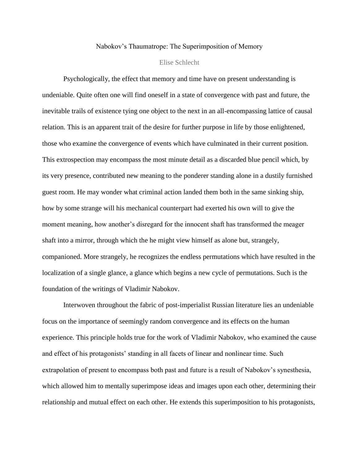## Nabokov's Thaumatrope: The Superimposition of Memory

## Elise Schlecht

Psychologically, the effect that memory and time have on present understanding is undeniable. Quite often one will find oneself in a state of convergence with past and future, the inevitable trails of existence tying one object to the next in an all-encompassing lattice of causal relation. This is an apparent trait of the desire for further purpose in life by those enlightened, those who examine the convergence of events which have culminated in their current position. This extrospection may encompass the most minute detail as a discarded blue pencil which, by its very presence, contributed new meaning to the ponderer standing alone in a dustily furnished guest room. He may wonder what criminal action landed them both in the same sinking ship, how by some strange will his mechanical counterpart had exerted his own will to give the moment meaning, how another's disregard for the innocent shaft has transformed the meager shaft into a mirror, through which the he might view himself as alone but, strangely, companioned. More strangely, he recognizes the endless permutations which have resulted in the localization of a single glance, a glance which begins a new cycle of permutations. Such is the foundation of the writings of Vladimir Nabokov.

Interwoven throughout the fabric of post-imperialist Russian literature lies an undeniable focus on the importance of seemingly random convergence and its effects on the human experience. This principle holds true for the work of Vladimir Nabokov, who examined the cause and effect of his protagonists' standing in all facets of linear and nonlinear time. Such extrapolation of present to encompass both past and future is a result of Nabokov's synesthesia, which allowed him to mentally superimpose ideas and images upon each other, determining their relationship and mutual effect on each other. He extends this superimposition to his protagonists,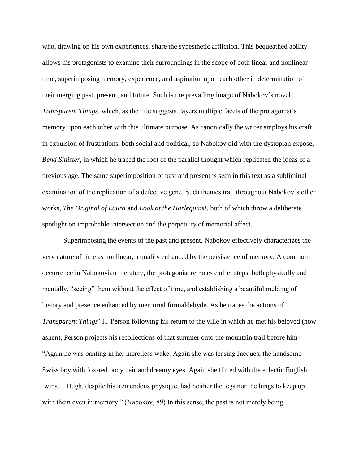who, drawing on his own experiences, share the synesthetic affliction. This bequeathed ability allows his protagonists to examine their surroundings in the scope of both linear and nonlinear time, superimposing memory, experience, and aspiration upon each other in determination of their merging past, present, and future. Such is the prevailing image of Nabokov's novel *Transparent Things*, which, as the title suggests, layers multiple facets of the protagonist's memory upon each other with this ultimate purpose. As canonically the writer employs his craft in expulsion of frustrations, both social and political, so Nabokov did with the dystopian expose, *Bend Sinister*, in which he traced the root of the parallel thought which replicated the ideas of a previous age. The same superimposition of past and present is seen in this text as a subliminal examination of the replication of a defective gene. Such themes trail throughout Nabokov's other works, *The Original of Laura* and *Look at the Harlequins!*, both of which throw a deliberate spotlight on improbable intersection and the perpetuity of memorial affect.

Superimposing the events of the past and present, Nabokov effectively characterizes the very nature of time as nonlinear, a quality enhanced by the persistence of memory. A common occurrence in Nabokovian literature, the protagonist retraces earlier steps, both physically and mentally, "seeing" them without the effect of time, and establishing a beautiful melding of history and presence enhanced by memorial formaldehyde. As he traces the actions of *Transparent Things*' H. Person following his return to the ville in which he met his beloved (now ashen), Person projects his recollections of that summer onto the mountain trail before him- "Again he was panting in her merciless wake. Again she was teasing Jacques, the handsome Swiss boy with fox-red body hair and dreamy eyes. Again she flirted with the eclectic English twins… Hugh, despite his tremendous physique, had neither the legs nor the lungs to keep up with them even in memory." (Nabokov, 89) In this sense, the past is not merely being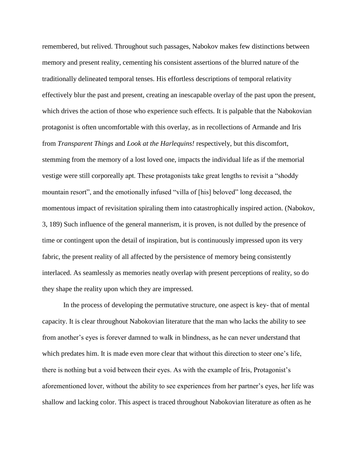remembered, but relived. Throughout such passages, Nabokov makes few distinctions between memory and present reality, cementing his consistent assertions of the blurred nature of the traditionally delineated temporal tenses. His effortless descriptions of temporal relativity effectively blur the past and present, creating an inescapable overlay of the past upon the present, which drives the action of those who experience such effects. It is palpable that the Nabokovian protagonist is often uncomfortable with this overlay, as in recollections of Armande and Iris from *Transparent Things* and *Look at the Harlequins!* respectively, but this discomfort, stemming from the memory of a lost loved one, impacts the individual life as if the memorial vestige were still corporeally apt. These protagonists take great lengths to revisit a "shoddy mountain resort", and the emotionally infused "villa of [his] beloved" long deceased, the momentous impact of revisitation spiraling them into catastrophically inspired action. (Nabokov, 3, 189) Such influence of the general mannerism, it is proven, is not dulled by the presence of time or contingent upon the detail of inspiration, but is continuously impressed upon its very fabric, the present reality of all affected by the persistence of memory being consistently interlaced. As seamlessly as memories neatly overlap with present perceptions of reality, so do they shape the reality upon which they are impressed.

In the process of developing the permutative structure, one aspect is key- that of mental capacity. It is clear throughout Nabokovian literature that the man who lacks the ability to see from another's eyes is forever damned to walk in blindness, as he can never understand that which predates him. It is made even more clear that without this direction to steer one's life, there is nothing but a void between their eyes. As with the example of Iris, Protagonist's aforementioned lover, without the ability to see experiences from her partner's eyes, her life was shallow and lacking color. This aspect is traced throughout Nabokovian literature as often as he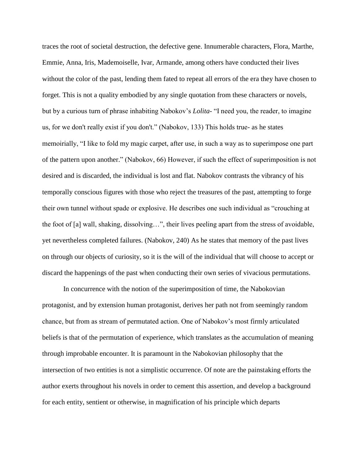traces the root of societal destruction, the defective gene. Innumerable characters, Flora, Marthe, Emmie, Anna, Iris, Mademoiselle, Ivar, Armande, among others have conducted their lives without the color of the past, lending them fated to repeat all errors of the era they have chosen to forget. This is not a quality embodied by any single quotation from these characters or novels, but by a curious turn of phrase inhabiting Nabokov's *Lolita*- "I need you, the reader, to imagine us, for we don't really exist if you don't." (Nabokov, 133) This holds true- as he states memoirially, "I like to fold my magic carpet, after use, in such a way as to superimpose one part of the pattern upon another." (Nabokov, 66) However, if such the effect of superimposition is not desired and is discarded, the individual is lost and flat. Nabokov contrasts the vibrancy of his temporally conscious figures with those who reject the treasures of the past, attempting to forge their own tunnel without spade or explosive. He describes one such individual as "crouching at the foot of [a] wall, shaking, dissolving…", their lives peeling apart from the stress of avoidable, yet nevertheless completed failures. (Nabokov, 240) As he states that memory of the past lives on through our objects of curiosity, so it is the will of the individual that will choose to accept or discard the happenings of the past when conducting their own series of vivacious permutations.

In concurrence with the notion of the superimposition of time, the Nabokovian protagonist, and by extension human protagonist, derives her path not from seemingly random chance, but from as stream of permutated action. One of Nabokov's most firmly articulated beliefs is that of the permutation of experience, which translates as the accumulation of meaning through improbable encounter. It is paramount in the Nabokovian philosophy that the intersection of two entities is not a simplistic occurrence. Of note are the painstaking efforts the author exerts throughout his novels in order to cement this assertion, and develop a background for each entity, sentient or otherwise, in magnification of his principle which departs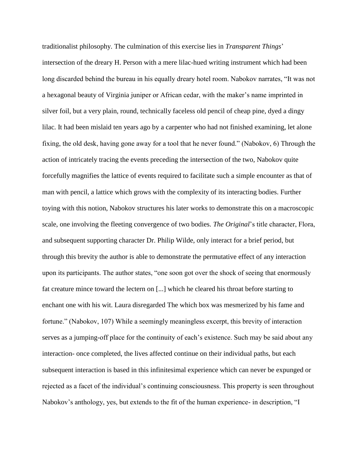traditionalist philosophy. The culmination of this exercise lies in *Transparent Things*' intersection of the dreary H. Person with a mere lilac-hued writing instrument which had been long discarded behind the bureau in his equally dreary hotel room. Nabokov narrates, "It was not a hexagonal beauty of Virginia juniper or African cedar, with the maker's name imprinted in silver foil, but a very plain, round, technically faceless old pencil of cheap pine, dyed a dingy lilac. It had been mislaid ten years ago by a carpenter who had not finished examining, let alone fixing, the old desk, having gone away for a tool that he never found." (Nabokov, 6) Through the action of intricately tracing the events preceding the intersection of the two, Nabokov quite forcefully magnifies the lattice of events required to facilitate such a simple encounter as that of man with pencil, a lattice which grows with the complexity of its interacting bodies. Further toying with this notion, Nabokov structures his later works to demonstrate this on a macroscopic scale, one involving the fleeting convergence of two bodies. *The Original*'s title character, Flora, and subsequent supporting character Dr. Philip Wilde, only interact for a brief period, but through this brevity the author is able to demonstrate the permutative effect of any interaction upon its participants. The author states, "one soon got over the shock of seeing that enormously fat creature mince toward the lectern on [...] which he cleared his throat before starting to enchant one with his wit. Laura disregarded The which box was mesmerized by his fame and fortune." (Nabokov, 107) While a seemingly meaningless excerpt, this brevity of interaction serves as a jumping-off place for the continuity of each's existence. Such may be said about any interaction- once completed, the lives affected continue on their individual paths, but each subsequent interaction is based in this infinitesimal experience which can never be expunged or rejected as a facet of the individual's continuing consciousness. This property is seen throughout Nabokov's anthology, yes, but extends to the fit of the human experience- in description, "I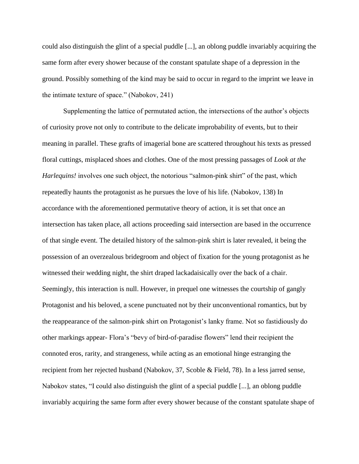could also distinguish the glint of a special puddle [...], an oblong puddle invariably acquiring the same form after every shower because of the constant spatulate shape of a depression in the ground. Possibly something of the kind may be said to occur in regard to the imprint we leave in the intimate texture of space." (Nabokov, 241)

Supplementing the lattice of permutated action, the intersections of the author's objects of curiosity prove not only to contribute to the delicate improbability of events, but to their meaning in parallel. These grafts of imagerial bone are scattered throughout his texts as pressed floral cuttings, misplaced shoes and clothes. One of the most pressing passages of *Look at the Harlequins!* involves one such object, the notorious "salmon-pink shirt" of the past, which repeatedly haunts the protagonist as he pursues the love of his life. (Nabokov, 138) In accordance with the aforementioned permutative theory of action, it is set that once an intersection has taken place, all actions proceeding said intersection are based in the occurrence of that single event. The detailed history of the salmon-pink shirt is later revealed, it being the possession of an overzealous bridegroom and object of fixation for the young protagonist as he witnessed their wedding night, the shirt draped lackadaisically over the back of a chair. Seemingly, this interaction is null. However, in prequel one witnesses the courtship of gangly Protagonist and his beloved, a scene punctuated not by their unconventional romantics, but by the reappearance of the salmon-pink shirt on Protagonist's lanky frame. Not so fastidiously do other markings appear- Flora's "bevy of bird-of-paradise flowers" lend their recipient the connoted eros, rarity, and strangeness, while acting as an emotional hinge estranging the recipient from her rejected husband (Nabokov, 37, Scoble & Field, 78). In a less jarred sense, Nabokov states, "I could also distinguish the glint of a special puddle [...], an oblong puddle invariably acquiring the same form after every shower because of the constant spatulate shape of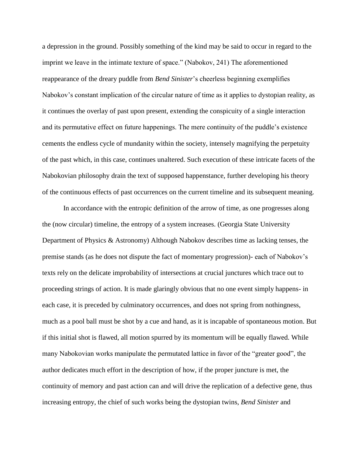a depression in the ground. Possibly something of the kind may be said to occur in regard to the imprint we leave in the intimate texture of space." (Nabokov, 241) The aforementioned reappearance of the dreary puddle from *Bend Sinister*'s cheerless beginning exemplifies Nabokov's constant implication of the circular nature of time as it applies to dystopian reality, as it continues the overlay of past upon present, extending the conspicuity of a single interaction and its permutative effect on future happenings. The mere continuity of the puddle's existence cements the endless cycle of mundanity within the society, intensely magnifying the perpetuity of the past which, in this case, continues unaltered. Such execution of these intricate facets of the Nabokovian philosophy drain the text of supposed happenstance, further developing his theory of the continuous effects of past occurrences on the current timeline and its subsequent meaning.

In accordance with the entropic definition of the arrow of time, as one progresses along the (now circular) timeline, the entropy of a system increases. (Georgia State University Department of Physics & Astronomy) Although Nabokov describes time as lacking tenses, the premise stands (as he does not dispute the fact of momentary progression)- each of Nabokov's texts rely on the delicate improbability of intersections at crucial junctures which trace out to proceeding strings of action. It is made glaringly obvious that no one event simply happens- in each case, it is preceded by culminatory occurrences, and does not spring from nothingness, much as a pool ball must be shot by a cue and hand, as it is incapable of spontaneous motion. But if this initial shot is flawed, all motion spurred by its momentum will be equally flawed. While many Nabokovian works manipulate the permutated lattice in favor of the "greater good", the author dedicates much effort in the description of how, if the proper juncture is met, the continuity of memory and past action can and will drive the replication of a defective gene, thus increasing entropy, the chief of such works being the dystopian twins, *Bend Sinister* and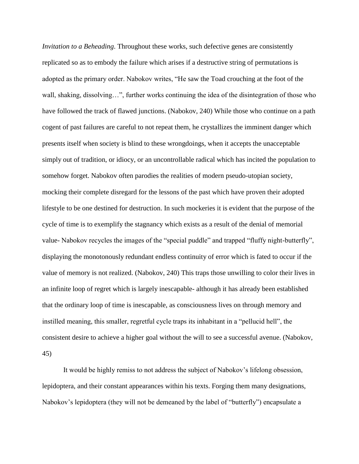*Invitation to a Beheading*. Throughout these works, such defective genes are consistently replicated so as to embody the failure which arises if a destructive string of permutations is adopted as the primary order. Nabokov writes, "He saw the Toad crouching at the foot of the wall, shaking, dissolving…", further works continuing the idea of the disintegration of those who have followed the track of flawed junctions. (Nabokov, 240) While those who continue on a path cogent of past failures are careful to not repeat them, he crystallizes the imminent danger which presents itself when society is blind to these wrongdoings, when it accepts the unacceptable simply out of tradition, or idiocy, or an uncontrollable radical which has incited the population to somehow forget. Nabokov often parodies the realities of modern pseudo-utopian society, mocking their complete disregard for the lessons of the past which have proven their adopted lifestyle to be one destined for destruction. In such mockeries it is evident that the purpose of the cycle of time is to exemplify the stagnancy which exists as a result of the denial of memorial value- Nabokov recycles the images of the "special puddle" and trapped "fluffy night-butterfly", displaying the monotonously redundant endless continuity of error which is fated to occur if the value of memory is not realized. (Nabokov, 240) This traps those unwilling to color their lives in an infinite loop of regret which is largely inescapable- although it has already been established that the ordinary loop of time is inescapable, as consciousness lives on through memory and instilled meaning, this smaller, regretful cycle traps its inhabitant in a "pellucid hell", the consistent desire to achieve a higher goal without the will to see a successful avenue. (Nabokov, 45)

It would be highly remiss to not address the subject of Nabokov's lifelong obsession, lepidoptera, and their constant appearances within his texts. Forging them many designations, Nabokov's lepidoptera (they will not be demeaned by the label of "butterfly") encapsulate a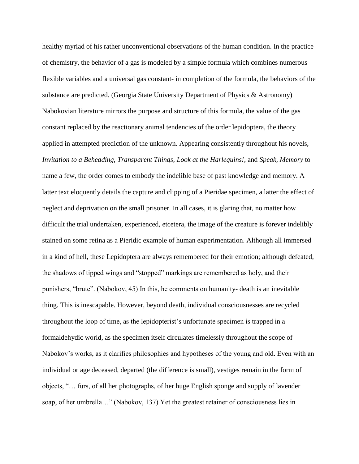healthy myriad of his rather unconventional observations of the human condition. In the practice of chemistry, the behavior of a gas is modeled by a simple formula which combines numerous flexible variables and a universal gas constant- in completion of the formula, the behaviors of the substance are predicted. (Georgia State University Department of Physics & Astronomy) Nabokovian literature mirrors the purpose and structure of this formula, the value of the gas constant replaced by the reactionary animal tendencies of the order lepidoptera, the theory applied in attempted prediction of the unknown. Appearing consistently throughout his novels, *Invitation to a Beheading*, *Transparent Things*, *Look at the Harlequins!*, and *Speak, Memory* to name a few, the order comes to embody the indelible base of past knowledge and memory. A latter text eloquently details the capture and clipping of a Pieridae specimen, a latter the effect of neglect and deprivation on the small prisoner. In all cases, it is glaring that, no matter how difficult the trial undertaken, experienced, etcetera, the image of the creature is forever indelibly stained on some retina as a Pieridic example of human experimentation. Although all immersed in a kind of hell, these Lepidoptera are always remembered for their emotion; although defeated, the shadows of tipped wings and "stopped" markings are remembered as holy, and their punishers, "brute". (Nabokov, 45) In this, he comments on humanity- death is an inevitable thing. This is inescapable. However, beyond death, individual consciousnesses are recycled throughout the loop of time, as the lepidopterist's unfortunate specimen is trapped in a formaldehydic world, as the specimen itself circulates timelessly throughout the scope of Nabokov's works, as it clarifies philosophies and hypotheses of the young and old. Even with an individual or age deceased, departed (the difference is small), vestiges remain in the form of objects, "… furs, of all her photographs, of her huge English sponge and supply of lavender soap, of her umbrella…" (Nabokov, 137) Yet the greatest retainer of consciousness lies in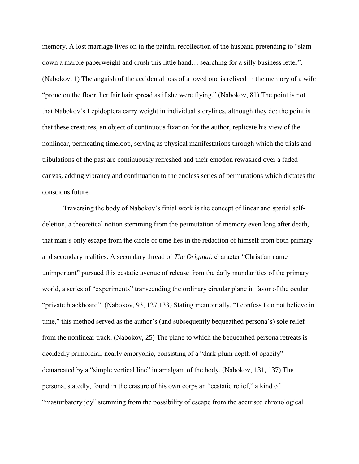memory. A lost marriage lives on in the painful recollection of the husband pretending to "slam down a marble paperweight and crush this little hand… searching for a silly business letter". (Nabokov, 1) The anguish of the accidental loss of a loved one is relived in the memory of a wife "prone on the floor, her fair hair spread as if she were flying." (Nabokov, 81) The point is not that Nabokov's Lepidoptera carry weight in individual storylines, although they do; the point is that these creatures, an object of continuous fixation for the author, replicate his view of the nonlinear, permeating timeloop, serving as physical manifestations through which the trials and tribulations of the past are continuously refreshed and their emotion rewashed over a faded canvas, adding vibrancy and continuation to the endless series of permutations which dictates the conscious future.

Traversing the body of Nabokov's finial work is the concept of linear and spatial selfdeletion, a theoretical notion stemming from the permutation of memory even long after death, that man's only escape from the circle of time lies in the redaction of himself from both primary and secondary realities. A secondary thread of *The Original*, character "Christian name unimportant" pursued this ecstatic avenue of release from the daily mundanities of the primary world, a series of "experiments" transcending the ordinary circular plane in favor of the ocular "private blackboard". (Nabokov, 93, 127,133) Stating memoirially, "I confess I do not believe in time," this method served as the author's (and subsequently bequeathed persona's) sole relief from the nonlinear track. (Nabokov, 25) The plane to which the bequeathed persona retreats is decidedly primordial, nearly embryonic, consisting of a "dark-plum depth of opacity" demarcated by a "simple vertical line" in amalgam of the body. (Nabokov, 131, 137) The persona, statedly, found in the erasure of his own corps an "ecstatic relief," a kind of "masturbatory joy" stemming from the possibility of escape from the accursed chronological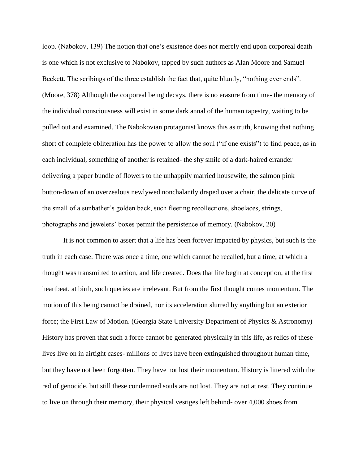loop. (Nabokov, 139) The notion that one's existence does not merely end upon corporeal death is one which is not exclusive to Nabokov, tapped by such authors as Alan Moore and Samuel Beckett. The scribings of the three establish the fact that, quite bluntly, "nothing ever ends". (Moore, 378) Although the corporeal being decays, there is no erasure from time- the memory of the individual consciousness will exist in some dark annal of the human tapestry, waiting to be pulled out and examined. The Nabokovian protagonist knows this as truth, knowing that nothing short of complete obliteration has the power to allow the soul ("if one exists") to find peace, as in each individual, something of another is retained- the shy smile of a dark-haired errander delivering a paper bundle of flowers to the unhappily married housewife, the salmon pink button-down of an overzealous newlywed nonchalantly draped over a chair, the delicate curve of the small of a sunbather's golden back, such fleeting recollections, shoelaces, strings, photographs and jewelers' boxes permit the persistence of memory. (Nabokov, 20)

It is not common to assert that a life has been forever impacted by physics, but such is the truth in each case. There was once a time, one which cannot be recalled, but a time, at which a thought was transmitted to action, and life created. Does that life begin at conception, at the first heartbeat, at birth, such queries are irrelevant. But from the first thought comes momentum. The motion of this being cannot be drained, nor its acceleration slurred by anything but an exterior force; the First Law of Motion. (Georgia State University Department of Physics & Astronomy) History has proven that such a force cannot be generated physically in this life, as relics of these lives live on in airtight cases- millions of lives have been extinguished throughout human time, but they have not been forgotten. They have not lost their momentum. History is littered with the red of genocide, but still these condemned souls are not lost. They are not at rest. They continue to live on through their memory, their physical vestiges left behind- over 4,000 shoes from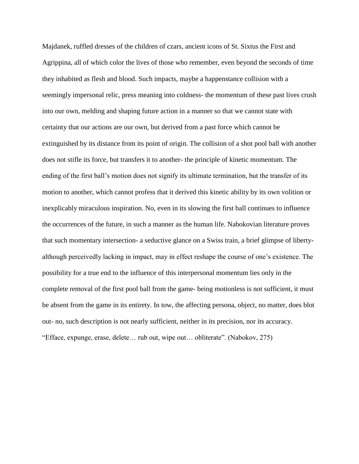Majdanek, ruffled dresses of the children of czars, ancient icons of St. Sixtus the First and Agrippina, all of which color the lives of those who remember, even beyond the seconds of time they inhabited as flesh and blood. Such impacts, maybe a happenstance collision with a seemingly impersonal relic, press meaning into coldness- the momentum of these past lives crush into our own, melding and shaping future action in a manner so that we cannot state with certainty that our actions are our own, but derived from a past force which cannot be extinguished by its distance from its point of origin. The collision of a shot pool ball with another does not stifle its force, but transfers it to another- the principle of kinetic momentum. The ending of the first ball's motion does not signify its ultimate termination, but the transfer of its motion to another, which cannot profess that it derived this kinetic ability by its own volition or inexplicably miraculous inspiration. No, even in its slowing the first ball continues to influence the occurrences of the future, in such a manner as the human life. Nabokovian literature proves that such momentary intersection- a seductive glance on a Swiss train, a brief glimpse of libertyalthough perceivedly lacking in impact, may in effect reshape the course of one's existence. The possibility for a true end to the influence of this interpersonal momentum lies only in the complete removal of the first pool ball from the game- being motionless is not sufficient, it must be absent from the game in its entirety. In tow, the affecting persona, object, no matter, does blot out- no, such description is not nearly sufficient, neither in its precision, nor its accuracy. "Efface, expunge, erase, delete… rub out, wipe out… obliterate". (Nabokov, 275)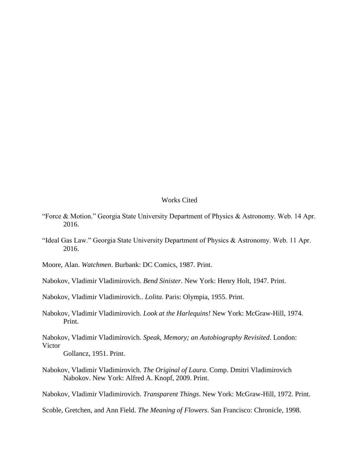## Works Cited

- "Force & Motion." Georgia State University Department of Physics & Astronomy. Web. 14 Apr. 2016.
- "Ideal Gas Law." Georgia State University Department of Physics & Astronomy. Web. 11 Apr. 2016.
- Moore, Alan. *Watchmen*. Burbank: DC Comics, 1987. Print.
- Nabokov, Vladimir Vladimirovich. *Bend Sinister*. New York: Henry Holt, 1947. Print.

Nabokov, Vladimir Vladimirovich.. *Lolita*. Paris: Olympia, 1955. Print.

Nabokov, Vladimir Vladimirovich. *Look at the Harlequins!* New York: McGraw-Hill, 1974. Print.

Nabokov, Vladimir Vladimirovich. *Speak, Memory; an Autobiography Revisited*. London: Victor

Gollancz, 1951. Print.

Nabokov, Vladimir Vladimirovich. *The Original of Laura*. Comp. Dmitri Vladimirovich Nabokov. New York: Alfred A. Knopf, 2009. Print.

Nabokov, Vladimir Vladimirovich. *Transparent Things*. New York: McGraw-Hill, 1972. Print.

Scoble, Gretchen, and Ann Field. *The Meaning of Flowers*. San Francisco: Chronicle, 1998.